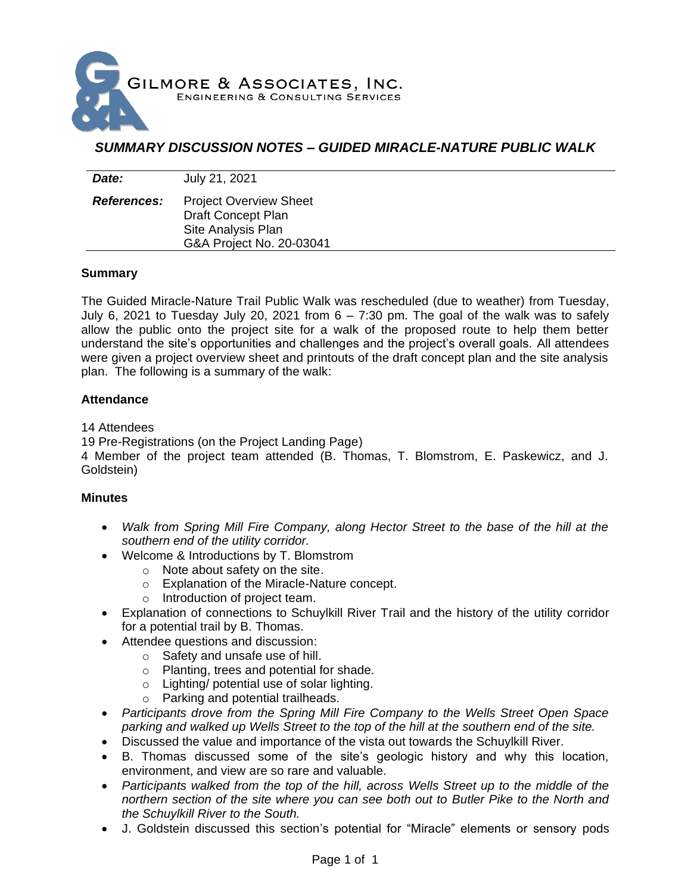

## *SUMMARY DISCUSSION NOTES – GUIDED MIRACLE-NATURE PUBLIC WALK*

| Date:              | July 21, 2021                                                                                         |
|--------------------|-------------------------------------------------------------------------------------------------------|
| <b>References:</b> | <b>Project Overview Sheet</b><br>Draft Concept Plan<br>Site Analysis Plan<br>G&A Project No. 20-03041 |

## **Summary**

The Guided Miracle-Nature Trail Public Walk was rescheduled (due to weather) from Tuesday, July 6, 2021 to Tuesday July 20, 2021 from 6 – 7:30 pm. The goal of the walk was to safely allow the public onto the project site for a walk of the proposed route to help them better understand the site's opportunities and challenges and the project's overall goals. All attendees were given a project overview sheet and printouts of the draft concept plan and the site analysis plan. The following is a summary of the walk:

## **Attendance**

14 Attendees

19 Pre-Registrations (on the Project Landing Page)

4 Member of the project team attended (B. Thomas, T. Blomstrom, E. Paskewicz, and J. Goldstein)

## **Minutes**

- *Walk from Spring Mill Fire Company, along Hector Street to the base of the hill at the southern end of the utility corridor.*
- Welcome & Introductions by T. Blomstrom
	- o Note about safety on the site.
		- o Explanation of the Miracle-Nature concept.
	- o Introduction of project team.
- Explanation of connections to Schuylkill River Trail and the history of the utility corridor for a potential trail by B. Thomas.
- Attendee questions and discussion:
	- o Safety and unsafe use of hill.
	- o Planting, trees and potential for shade.
	- o Lighting/ potential use of solar lighting.
	- o Parking and potential trailheads.
- *Participants drove from the Spring Mill Fire Company to the Wells Street Open Space parking and walked up Wells Street to the top of the hill at the southern end of the site.*
- Discussed the value and importance of the vista out towards the Schuylkill River.
- B. Thomas discussed some of the site's geologic history and why this location, environment, and view are so rare and valuable.
- *Participants walked from the top of the hill, across Wells Street up to the middle of the northern section of the site where you can see both out to Butler Pike to the North and the Schuylkill River to the South.*
- J. Goldstein discussed this section's potential for "Miracle" elements or sensory pods